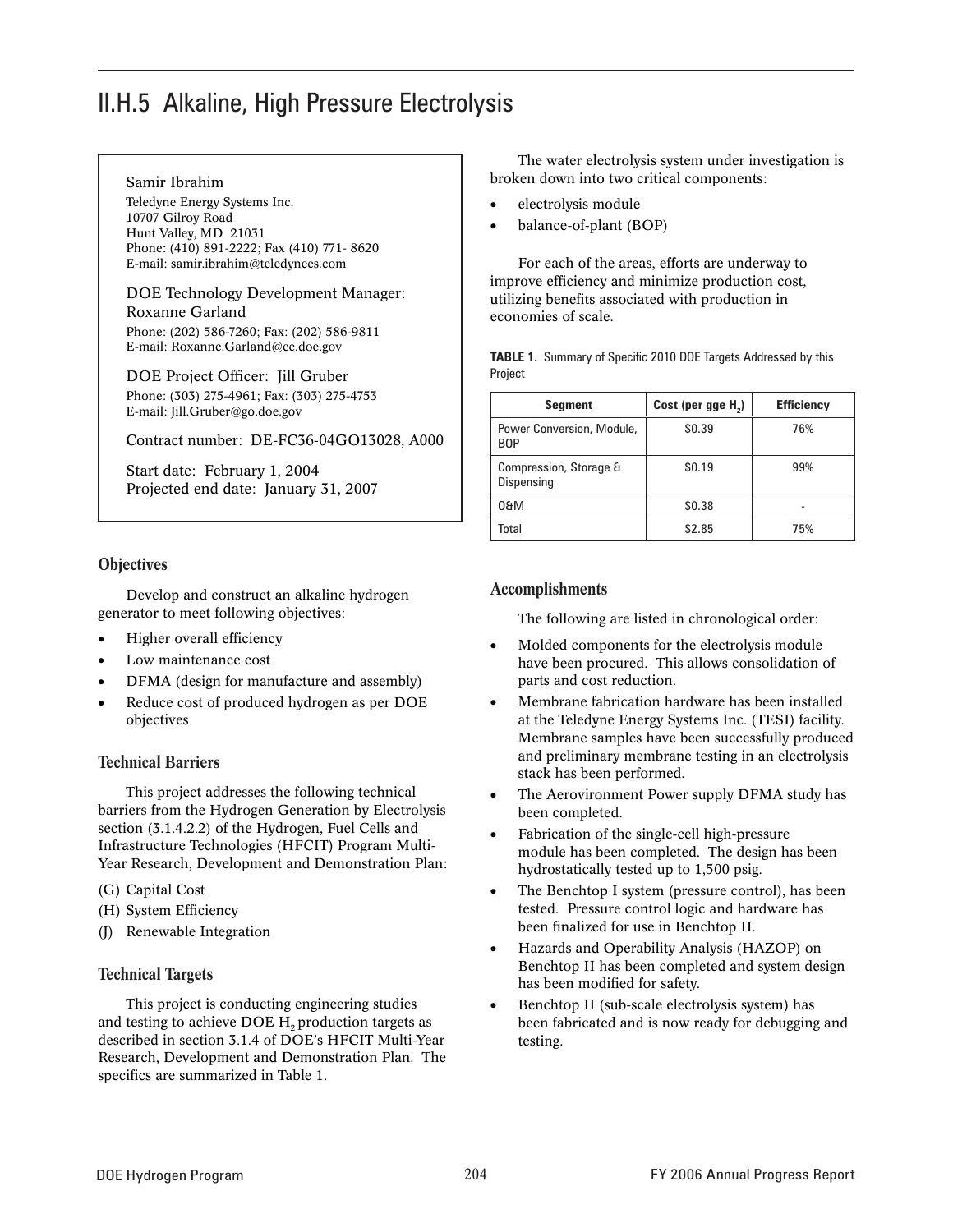# II.H.5 Alkaline, High Pressure Electrolysis

#### Samir Ibrahim

Teledyne Energy Systems Inc. 10707 Gilroy Road Hunt Valley, MD 21031 Phone: (410) 891-2222; Fax (410) 771- 8620 E-mail: samir.ibrahim@teledynees.com

DOE Technology Development Manager: Roxanne Garland Phone: (202) 586-7260; Fax: (202) 586-9811 E-mail: Roxanne.Garland@ee.doe.gov

DOE Project Officer: Jill Gruber Phone: (303) 275-4961; Fax: (303) 275-4753 E-mail: Jill.Gruber@go.doe.gov

Contract number: DE-FC36-04GO13028, A000

Start date: February 1, 2004 Projected end date: January 31, 2007

#### **Objectives**

Develop and construct an alkaline hydrogen generator to meet following objectives:

- Higher overall efficiency •
- Low maintenance cost •
- DFMA (design for manufacture and assembly) •
- Reduce cost of produced hydrogen as per DOE objectives •

#### Technical Barriers

This project addresses the following technical barriers from the Hydrogen Generation by Electrolysis section (3.1.4.2.2) of the Hydrogen, Fuel Cells and Infrastructure Technologies (HFCIT) Program Multi-Year Research, Development and Demonstration Plan:

- (G) Capital Cost
- (H) System Efficiency
- (J) Renewable Integration

#### Technical Targets

This project is conducting engineering studies and testing to achieve DOE  $H<sub>2</sub>$  production targets as described in section 3.1.4 of DOE's HFCIT Multi-Year Research, Development and Demonstration Plan. The specifics are summarized in Table 1.

The water electrolysis system under investigation is broken down into two critical components:

- electrolysis module •
- balance-of-plant (BOP) •

For each of the areas, efforts are underway to improve efficiency and minimize production cost, utilizing benefits associated with production in economies of scale.

**Table 1.** Summary of Specific 2010 DOE Targets Addressed by this Project

| <b>Segment</b>                          | Cost (per gge H <sub>2</sub> ) | <b>Efficiency</b> |
|-----------------------------------------|--------------------------------|-------------------|
| Power Conversion, Module,<br><b>BOP</b> | \$0.39                         | 76%               |
| Compression, Storage &<br>Dispensing    | \$0.19                         | 99%               |
| 0&M                                     | \$0.38                         |                   |
| <sup>r</sup> otal                       | \$2.85                         | 75%               |

#### Accomplishments

The following are listed in chronological order:

- Molded components for the electrolysis module have been procured. This allows consolidation of parts and cost reduction. •
- Membrane fabrication hardware has been installed at the Teledyne Energy Systems Inc. (TESI) facility. Membrane samples have been successfully produced and preliminary membrane testing in an electrolysis stack has been performed. •
- The Aerovironment Power supply DFMA study has been completed. •
- Fabrication of the single-cell high-pressure module has been completed. The design has been hydrostatically tested up to 1,500 psig. •
- The Benchtop I system (pressure control), has been tested. Pressure control logic and hardware has been finalized for use in Benchtop II. •
- Hazards and Operability Analysis (HAZOP) on Benchtop II has been completed and system design has been modified for safety. •
- Benchtop II (sub-scale electrolysis system) has been fabricated and is now ready for debugging and testing. •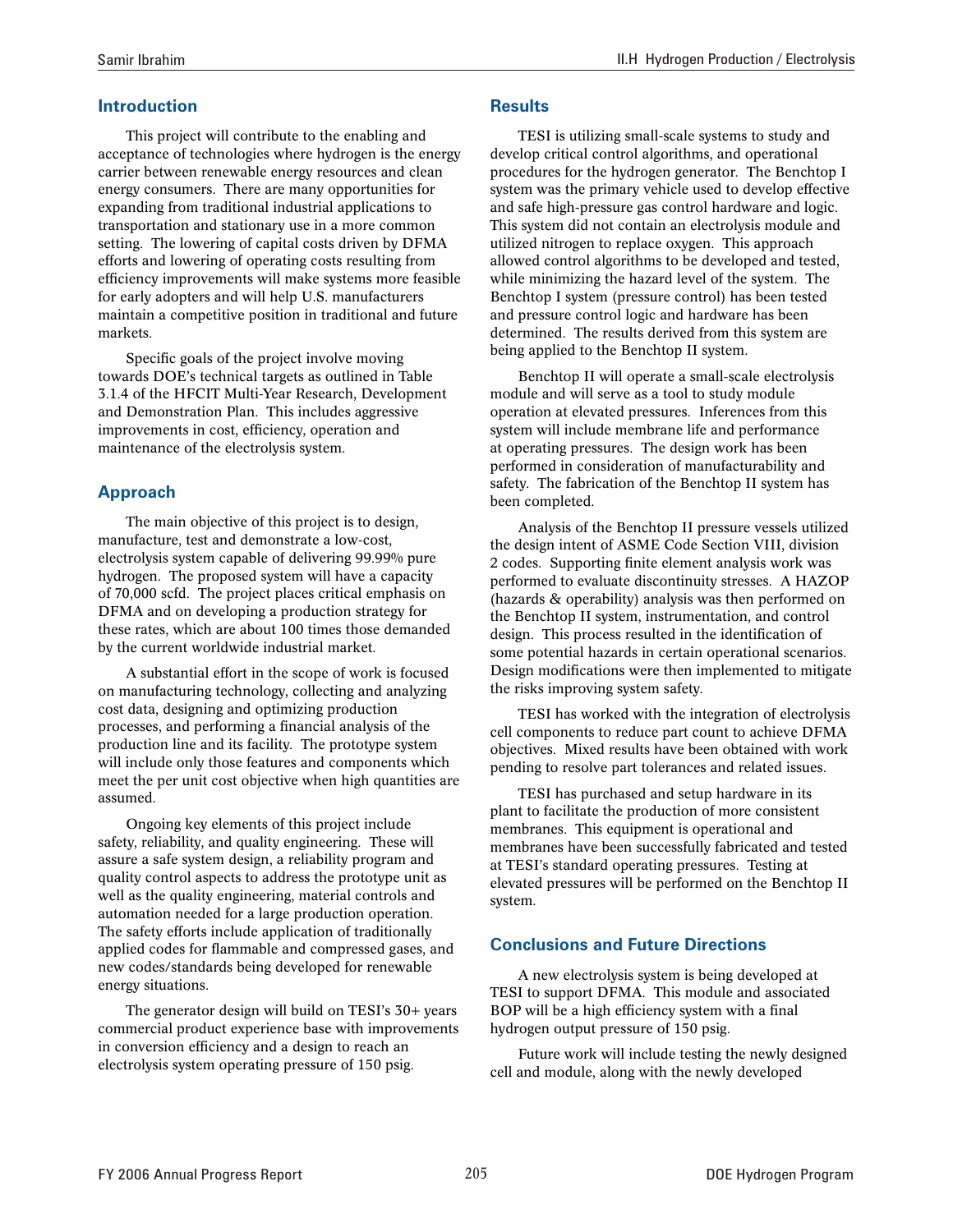### **Introduction**

This project will contribute to the enabling and acceptance of technologies where hydrogen is the energy carrier between renewable energy resources and clean energy consumers. There are many opportunities for expanding from traditional industrial applications to transportation and stationary use in a more common setting. The lowering of capital costs driven by DFMA efforts and lowering of operating costs resulting from efficiency improvements will make systems more feasible for early adopters and will help U.S. manufacturers maintain a competitive position in traditional and future markets.

Specific goals of the project involve moving towards DOE's technical targets as outlined in Table 3.1.4 of the HFCIT Multi-Year Research, Development and Demonstration Plan. This includes aggressive improvements in cost, efficiency, operation and maintenance of the electrolysis system.

## **Approach**

The main objective of this project is to design, manufacture, test and demonstrate a low-cost, electrolysis system capable of delivering 99.99% pure hydrogen. The proposed system will have a capacity of 70,000 scfd. The project places critical emphasis on DFMA and on developing a production strategy for these rates, which are about 100 times those demanded by the current worldwide industrial market.

A substantial effort in the scope of work is focused on manufacturing technology, collecting and analyzing cost data, designing and optimizing production processes, and performing a financial analysis of the production line and its facility. The prototype system will include only those features and components which meet the per unit cost objective when high quantities are assumed.

Ongoing key elements of this project include safety, reliability, and quality engineering. These will assure a safe system design, a reliability program and quality control aspects to address the prototype unit as well as the quality engineering, material controls and automation needed for a large production operation. The safety efforts include application of traditionally applied codes for flammable and compressed gases, and new codes/standards being developed for renewable energy situations.

The generator design will build on TESI's 30+ years commercial product experience base with improvements in conversion efficiency and a design to reach an electrolysis system operating pressure of 150 psig.

#### **Results**

TESI is utilizing small-scale systems to study and develop critical control algorithms, and operational procedures for the hydrogen generator. The Benchtop I system was the primary vehicle used to develop effective and safe high-pressure gas control hardware and logic. This system did not contain an electrolysis module and utilized nitrogen to replace oxygen. This approach allowed control algorithms to be developed and tested, while minimizing the hazard level of the system. The Benchtop I system (pressure control) has been tested and pressure control logic and hardware has been determined. The results derived from this system are being applied to the Benchtop II system.

Benchtop II will operate a small-scale electrolysis module and will serve as a tool to study module operation at elevated pressures. Inferences from this system will include membrane life and performance at operating pressures. The design work has been performed in consideration of manufacturability and safety. The fabrication of the Benchtop II system has been completed.

Analysis of the Benchtop II pressure vessels utilized the design intent of ASME Code Section VIII, division 2 codes. Supporting finite element analysis work was performed to evaluate discontinuity stresses. A HAZOP (hazards & operability) analysis was then performed on the Benchtop II system, instrumentation, and control design. This process resulted in the identification of some potential hazards in certain operational scenarios. Design modifications were then implemented to mitigate the risks improving system safety.

TESI has worked with the integration of electrolysis cell components to reduce part count to achieve DFMA objectives. Mixed results have been obtained with work pending to resolve part tolerances and related issues.

TESI has purchased and setup hardware in its plant to facilitate the production of more consistent membranes. This equipment is operational and membranes have been successfully fabricated and tested at TESI's standard operating pressures. Testing at elevated pressures will be performed on the Benchtop II system.

#### **Conclusions and Future Directions**

A new electrolysis system is being developed at TESI to support DFMA. This module and associated BOP will be a high efficiency system with a final hydrogen output pressure of 150 psig.

Future work will include testing the newly designed cell and module, along with the newly developed